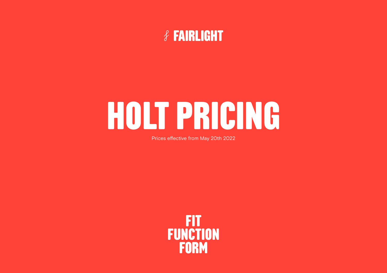

## **HOLT PRICING**

Prices effective from May 20th 2022

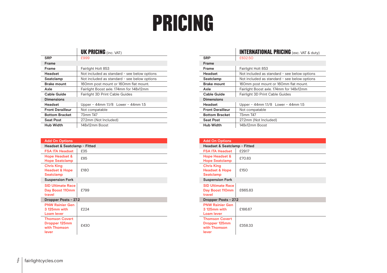## **PRICING**

|                         | <b>UK PRICING</b> (inc. VAT)                 |
|-------------------------|----------------------------------------------|
| <b>SRP</b>              | £999                                         |
| <b>Frame</b>            |                                              |
| Frame                   | Fairlight Holt 853                           |
| Headset                 | Not included as standard - see below options |
| Seatclamp               | Not included as standard - see below options |
| <b>Brake mount</b>      | 160mm post mount or 160mm flat mount.        |
| Axle                    | Fairlight Boost axle. 174mm for 148x12mm     |
| <b>Cable Guide</b>      | <b>Fairlight 3D Print Cable Guides</b>       |
| <b>Dimensions</b>       |                                              |
| Headset                 | Upper – 44mm $1.1/8$ Lower – 44mm $1.5$      |
| <b>Front Derailleur</b> | Not compatable                               |
| <b>Bottom Bracket</b>   | 73mm T47                                     |
| <b>Seat Post</b>        | 27.2mm (Not Included)                        |
| <b>Hub Width</b>        | 148x12mm Boost                               |

| <b>Add On Options</b>                                                  |      |  |
|------------------------------------------------------------------------|------|--|
| Headset & Seatclamp - Fitted                                           |      |  |
| <b>FSA ITA Headset</b>                                                 | £35  |  |
| <b>Hope Headset &amp;</b><br><b>Hope Seatclamp</b>                     | £85  |  |
| <b>Chris King</b><br><b>Headset &amp; Hope</b><br>Seatclamp            | £180 |  |
| <b>Suspension Fork</b>                                                 |      |  |
| <b>SID Ultimate Race</b><br>Day Boost 110mm<br>travel                  | £799 |  |
| Dropper Posts - 27.2                                                   |      |  |
| <b>PNW Rainier Gen</b><br>3125mm with<br>Loam lever                    | £224 |  |
| <b>Thomson Covert</b><br><b>Dropper 125mm</b><br>with Thomson<br>lever | £430 |  |

|                         | <b>INTERNATIONAL PRICING</b> (exc. VAT & duty) |
|-------------------------|------------------------------------------------|
| <b>SRP</b>              | £832.50                                        |
| <b>Frame</b>            |                                                |
| Frame                   | Fairlight Holt 853                             |
| Headset                 | Not included as standard - see below options   |
| Seatclamp               | Not included as standard - see below options   |
| <b>Brake mount</b>      | 160mm post mount or 160mm flat mount.          |
| Axle                    | Fairlight Boost axle. 174mm for 148x12mm       |
| <b>Cable Guide</b>      | <b>Fairlight 3D Print Cable Guides</b>         |
| <b>Dimensions</b>       |                                                |
| Headset                 | Upper – 44mm 1.1/8 Lower – 44mm 1.5            |
| <b>Front Derailleur</b> | Not compatable                                 |
| <b>Bottom Bracket</b>   | 73mm T47                                       |
| <b>Seat Post</b>        | 27.2mm (Not Included)                          |
| <b>Hub Width</b>        | 148x12mm Boost                                 |

| <b>Add On Options</b>                                              |         |  |
|--------------------------------------------------------------------|---------|--|
| Headset & Seatclamp - Fitted                                       |         |  |
| <b>FSA ITA Headset</b>                                             | £29.17  |  |
| <b>Hope Headset &amp;</b><br><b>Hope Seatclamp</b>                 | £70.83  |  |
| <b>Chris King</b><br><b>Headset &amp; Hope</b><br><b>Seatclamp</b> | £150    |  |
| <b>Suspension Fork</b>                                             |         |  |
| <b>SID Ultimate Race</b><br>Day Boost 110mm<br>travel              | £665.83 |  |
| Dropper Posts - 27.2                                               |         |  |
| <b>PNW Rainier Gen</b><br>3125mm with<br>Loam lever                | £186.67 |  |
| <b>Thomson Covert</b><br>Dropper 125mm<br>with Thomson<br>lever    | £358.33 |  |